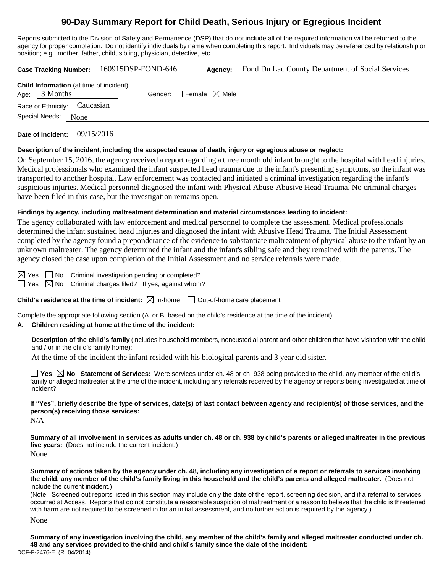# **90-Day Summary Report for Child Death, Serious Injury or Egregious Incident**

Reports submitted to the Division of Safety and Permanence (DSP) that do not include all of the required information will be returned to the agency for proper completion. Do not identify individuals by name when completing this report. Individuals may be referenced by relationship or position; e.g., mother, father, child, sibling, physician, detective, etc.

|  |                                                                   | Case Tracking Number: 160915DSP-FOND-646 |  | Agency:                         | Fond Du Lac County Department of Social Services |  |
|--|-------------------------------------------------------------------|------------------------------------------|--|---------------------------------|--------------------------------------------------|--|
|  | <b>Child Information</b> (at time of incident)<br>Age: $3$ Months |                                          |  | Gender: Female $\boxtimes$ Male |                                                  |  |
|  | Race or Ethnicity: Caucasian                                      |                                          |  |                                 |                                                  |  |
|  | Special Needs: None                                               |                                          |  |                                 |                                                  |  |
|  |                                                                   |                                          |  |                                 |                                                  |  |

**Date of Incident:** 09/15/2016

#### **Description of the incident, including the suspected cause of death, injury or egregious abuse or neglect:**

On September 15, 2016, the agency received a report regarding a three month old infant brought to the hospital with head injuries. Medical professionals who examined the infant suspected head trauma due to the infant's presenting symptoms, so the infant was transported to another hospital. Law enforcement was contacted and initiated a criminal investigation regarding the infant's suspicious injuries. Medical personnel diagnosed the infant with Physical Abuse-Abusive Head Trauma. No criminal charges have been filed in this case, but the investigation remains open.

#### **Findings by agency, including maltreatment determination and material circumstances leading to incident:**

The agency collaborated with law enforcement and medical personnel to complete the assessment. Medical professionals determined the infant sustained head injuries and diagnosed the infant with Abusive Head Trauma. The Initial Assessment completed by the agency found a preponderance of the evidence to substantiate maltreatment of physical abuse to the infant by an unknown maltreater. The agency determined the infant and the infant's sibling safe and they remained with the parents. The agency closed the case upon completion of the Initial Assessment and no service referrals were made.

 $\boxtimes$  Yes  $\Box$  No Criminal investigation pending or completed?

 $\Box$  Yes  $\boxtimes$  No Criminal charges filed? If yes, against whom?

**Child's residence at the time of incident:**  $\boxtimes$  In-home  $\Box$  Out-of-home care placement

Complete the appropriate following section (A. or B. based on the child's residence at the time of the incident).

#### **A. Children residing at home at the time of the incident:**

**Description of the child's family** (includes household members, noncustodial parent and other children that have visitation with the child and / or in the child's family home):

At the time of the incident the infant resided with his biological parents and 3 year old sister.

■ Yes **No** Statement of Services: Were services under ch. 48 or ch. 938 being provided to the child, any member of the child's family or alleged maltreater at the time of the incident, including any referrals received by the agency or reports being investigated at time of incident?

**If "Yes", briefly describe the type of services, date(s) of last contact between agency and recipient(s) of those services, and the person(s) receiving those services:**

 $N/A$ 

**Summary of all involvement in services as adults under ch. 48 or ch. 938 by child's parents or alleged maltreater in the previous five years:** (Does not include the current incident.) None

**Summary of actions taken by the agency under ch. 48, including any investigation of a report or referrals to services involving the child, any member of the child's family living in this household and the child's parents and alleged maltreater.** (Does not include the current incident.)

(Note: Screened out reports listed in this section may include only the date of the report, screening decision, and if a referral to services occurred at Access. Reports that do not constitute a reasonable suspicion of maltreatment or a reason to believe that the child is threatened with harm are not required to be screened in for an initial assessment, and no further action is required by the agency.)

None

DCF-F-2476-E (R. 04/2014) **Summary of any investigation involving the child, any member of the child's family and alleged maltreater conducted under ch. 48 and any services provided to the child and child's family since the date of the incident:**